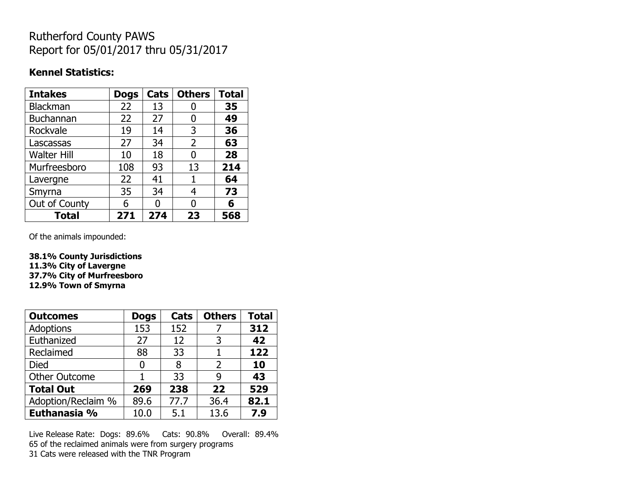## Rutherford County PAWS Report for 05/01/2017 thru 05/31/2017

### **Kennel Statistics:**

| <b>Intakes</b>     | <b>Dogs</b> | Cats | <b>Others</b> | <b>Total</b> |
|--------------------|-------------|------|---------------|--------------|
| <b>Blackman</b>    | 22          | 13   | O             | 35           |
| <b>Buchannan</b>   | 22          | 27   | 0             | 49           |
| Rockvale           | 19          | 14   | 3             | 36           |
| Lascassas          | 27          | 34   | 2             | 63           |
| <b>Walter Hill</b> | 10          | 18   | 0             | 28           |
| Murfreesboro       | 108         | 93   | 13            | 214          |
| Lavergne           | 22          | 41   | 1             | 64           |
| Smyrna             | 35          | 34   | 4             | 73           |
| Out of County      | 6           | U    | O             | 6            |
| <b>Total</b>       | 271         | 274  | 23            | 568          |

Of the animals impounded:

**38.1% County Jurisdictions 11.3% City of Lavergne 37.7% City of Murfreesboro 12.9% Town of Smyrna**

| <b>Outcomes</b>      | <b>Dogs</b> | Cats | <b>Others</b> | <b>Total</b> |
|----------------------|-------------|------|---------------|--------------|
| Adoptions            | 153         | 152  |               | 312          |
| Euthanized           | 27          | 12   | 3             | 42           |
| Reclaimed            | 88          | 33   |               | 122          |
| Died                 | 0           | 8    | 2             | 10           |
| <b>Other Outcome</b> |             | 33   | q             | 43           |
| <b>Total Out</b>     | 269         | 238  | 22            | 529          |
| Adoption/Reclaim %   | 89.6        | 77.7 | 36.4          | 82.1         |
| Euthanasia %         | 10.0        | 5.1  | 13.6          | 7.9          |

Live Release Rate: Dogs: 89.6% Cats: 90.8% Overall: 89.4% 65 of the reclaimed animals were from surgery programs 31 Cats were released with the TNR Program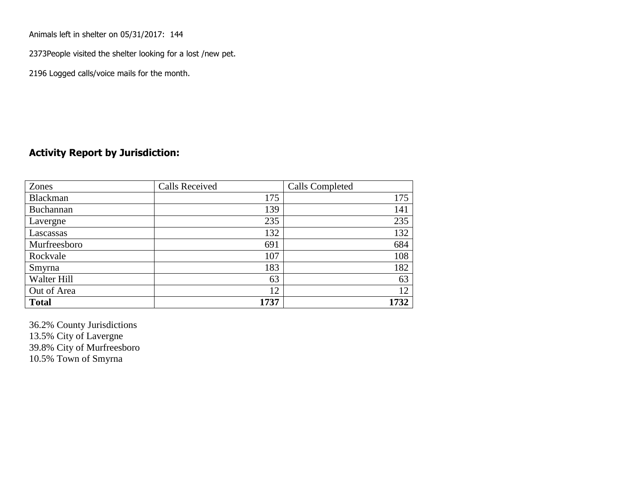Animals left in shelter on 05/31/2017: 144

2373People visited the shelter looking for a lost /new pet.

2196 Logged calls/voice mails for the month.

#### **Activity Report by Jurisdiction:**

| Zones           | <b>Calls Received</b> | Calls Completed |
|-----------------|-----------------------|-----------------|
| <b>Blackman</b> | 175                   | 175             |
| Buchannan       | 139                   | 141             |
| Lavergne        | 235                   | 235             |
| Lascassas       | 132                   | 132             |
| Murfreesboro    | 691                   | 684             |
| Rockvale        | 107                   | 108             |
| Smyrna          | 183                   | 182             |
| Walter Hill     | 63                    | 63              |
| Out of Area     | 12                    | 12              |
| <b>Total</b>    | 1737                  | 1732            |

36.2% County Jurisdictions 13.5% City of Lavergne 39.8% City of Murfreesboro 10.5% Town of Smyrna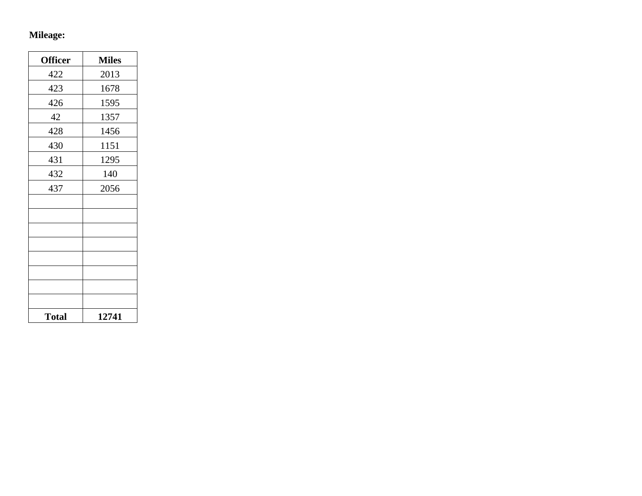# **Mileage:**

| <b>Officer</b> | <b>Miles</b> |
|----------------|--------------|
| 422            | 2013         |
| 423            | 1678         |
| 426            | 1595         |
| 42             | 1357         |
| 428            | 1456         |
| 430            | 1151         |
| 431            | 1295         |
| 432            | 140          |
| 437            | 2056         |
|                |              |
|                |              |
|                |              |
|                |              |
|                |              |
|                |              |
|                |              |
|                |              |
| <b>Total</b>   | 12741        |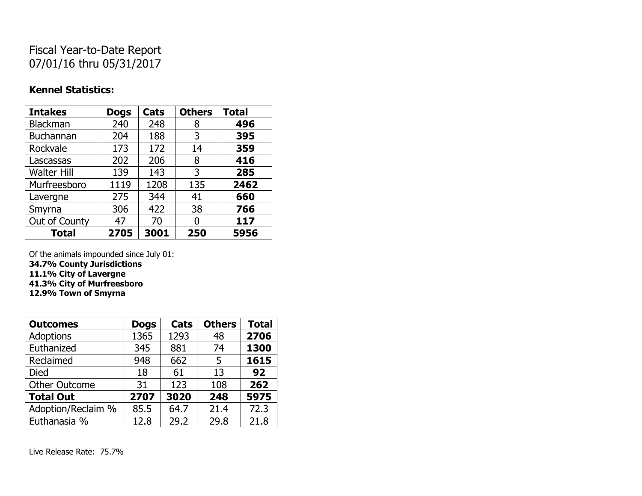## Fiscal Year-to-Date Report 07/01/16 thru 05/31/2017

#### **Kennel Statistics:**

| <b>Intakes</b>     | <b>Dogs</b> | Cats | <b>Others</b> | <b>Total</b> |
|--------------------|-------------|------|---------------|--------------|
| <b>Blackman</b>    | 240         | 248  | 8             | 496          |
| <b>Buchannan</b>   | 204         | 188  | 3             | 395          |
| Rockvale           | 173         | 172  | 14            | 359          |
| Lascassas          | 202         | 206  | 8             | 416          |
| <b>Walter Hill</b> | 139         | 143  | 3             | 285          |
| Murfreesboro       | 1119        | 1208 | 135           | 2462         |
| Lavergne           | 275         | 344  | 41            | 660          |
| Smyrna             | 306         | 422  | 38            | 766          |
| Out of County      | 47          | 70   | N             | 117          |
| <b>Total</b>       | 2705        | 3001 | 250           | 5956         |

Of the animals impounded since July 01:

**34.7% County Jurisdictions**

**11.1% City of Lavergne**

**41.3% City of Murfreesboro**

**12.9% Town of Smyrna**

| <b>Outcomes</b>      | <b>Dogs</b> | Cats | <b>Others</b> | <b>Total</b> |
|----------------------|-------------|------|---------------|--------------|
| <b>Adoptions</b>     | 1365        | 1293 | 48            | 2706         |
| Euthanized           | 345         | 881  | 74            | 1300         |
| Reclaimed            | 948         | 662  | 5             | 1615         |
| <b>Died</b>          | 18          | 61   | 13            | 92           |
| <b>Other Outcome</b> | 31          | 123  | 108           | 262          |
| <b>Total Out</b>     | 2707        | 3020 | 248           | 5975         |
| Adoption/Reclaim %   | 85.5        | 64.7 | 21.4          | 72.3         |
| Euthanasia %         | 12.8        | 29.2 | 29.8          | 21.8         |

Live Release Rate: 75.7%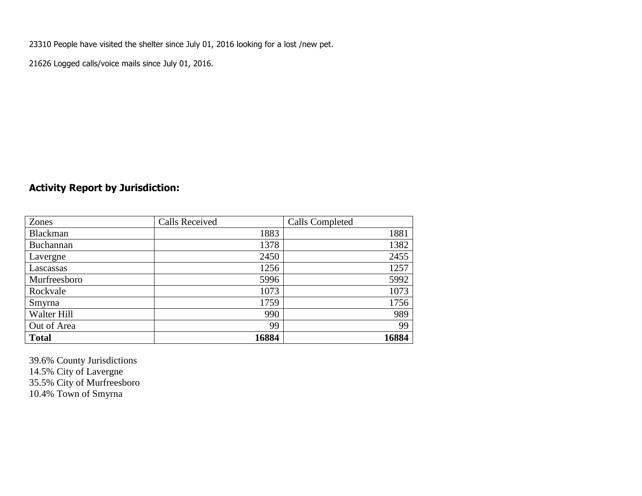23310 People have visited the shelter since July 01, 2016 looking for a lost /new pet.

21626 Logged calls/voice mails since July 01, 2016.

## **Activity Report by Jurisdiction:**

| Zones           | <b>Calls Received</b> | Calls Completed |
|-----------------|-----------------------|-----------------|
| <b>Blackman</b> | 1883                  | 1881            |
| Buchannan       | 1378                  | 1382            |
| Lavergne        | 2450                  | 2455            |
| Lascassas       | 1256                  | 1257            |
| Murfreesboro    | 5996                  | 5992            |
| Rockvale        | 1073                  | 1073            |
| Smyrna          | 1759                  | 1756            |
| Walter Hill     | 990                   | 989             |
| Out of Area     | 99                    | 99              |
| <b>Total</b>    | 16884                 | 16884           |

39.6% County Jurisdictions 14.5% City of Lavergne 35.5% City of Murfreesboro 10.4% Town of Smyrna